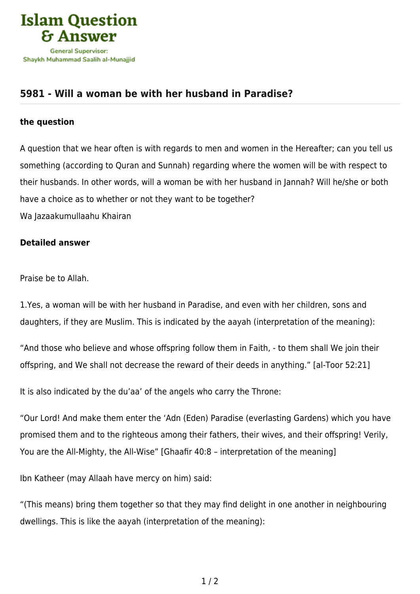

## **[5981 - Will a woman be with her husband in Paradise?](https://islamqa.com/en/answers/5981/will-a-woman-be-with-her-husband-in-paradise)**

## **the question**

A question that we hear often is with regards to men and women in the Hereafter; can you tell us something (according to Quran and Sunnah) regarding where the women will be with respect to their husbands. In other words, will a woman be with her husband in Jannah? Will he/she or both have a choice as to whether or not they want to be together? Wa Jazaakumullaahu Khairan

## **Detailed answer**

Praise be to Allah.

1.Yes, a woman will be with her husband in Paradise, and even with her children, sons and daughters, if they are Muslim. This is indicated by the aayah (interpretation of the meaning):

"And those who believe and whose offspring follow them in Faith, - to them shall We join their offspring, and We shall not decrease the reward of their deeds in anything." [al-Toor 52:21]

It is also indicated by the du'aa' of the angels who carry the Throne:

"Our Lord! And make them enter the 'Adn (Eden) Paradise (everlasting Gardens) which you have promised them and to the righteous among their fathers, their wives, and their offspring! Verily, You are the All-Mighty, the All-Wise" [Ghaafir 40:8 – interpretation of the meaning]

Ibn Katheer (may Allaah have mercy on him) said:

"(This means) bring them together so that they may find delight in one another in neighbouring dwellings. This is like the aayah (interpretation of the meaning):